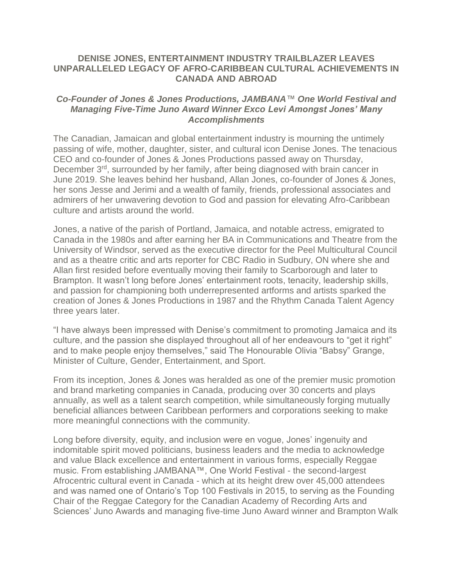## **DENISE JONES, ENTERTAINMENT INDUSTRY TRAILBLAZER LEAVES UNPARALLELED LEGACY OF AFRO-CARIBBEAN CULTURAL ACHIEVEMENTS IN CANADA AND ABROAD**

## *Co-Founder of Jones & Jones Productions, JAMBANA™ One World Festival and Managing Five-Time Juno Award Winner Exco Levi Amongst Jones' Many Accomplishments*

The Canadian, Jamaican and global entertainment industry is mourning the untimely passing of wife, mother, daughter, sister, and cultural icon Denise Jones. The tenacious CEO and co-founder of Jones & Jones Productions passed away on Thursday, December 3<sup>rd</sup>, surrounded by her family, after being diagnosed with brain cancer in June 2019. She leaves behind her husband, Allan Jones, co-founder of Jones & Jones, her sons Jesse and Jerimi and a wealth of family, friends, professional associates and admirers of her unwavering devotion to God and passion for elevating Afro-Caribbean culture and artists around the world.

Jones, a native of the parish of Portland, Jamaica, and notable actress, emigrated to Canada in the 1980s and after earning her BA in Communications and Theatre from the University of Windsor, served as the executive director for the Peel Multicultural Council and as a theatre critic and arts reporter for CBC Radio in Sudbury, ON where she and Allan first resided before eventually moving their family to Scarborough and later to Brampton. It wasn't long before Jones' entertainment roots, tenacity, leadership skills, and passion for championing both underrepresented artforms and artists sparked the creation of Jones & Jones Productions in 1987 and the Rhythm Canada Talent Agency three years later.

"I have always been impressed with Denise's commitment to promoting Jamaica and its culture, and the passion she displayed throughout all of her endeavours to "get it right" and to make people enjoy themselves," said The Honourable Olivia "Babsy" Grange, Minister of Culture, Gender, Entertainment, and Sport.

From its inception, Jones & Jones was heralded as one of the premier music promotion and brand marketing companies in Canada, producing over 30 concerts and plays annually, as well as a talent search competition, while simultaneously forging mutually beneficial alliances between Caribbean performers and corporations seeking to make more meaningful connections with the community.

Long before diversity, equity, and inclusion were en vogue, Jones' ingenuity and indomitable spirit moved politicians, business leaders and the media to acknowledge and value Black excellence and entertainment in various forms, especially Reggae music. From establishing JAMBANA™, One World Festival - the second-largest Afrocentric cultural event in Canada - which at its height drew over 45,000 attendees and was named one of Ontario's Top 100 Festivals in 2015, to serving as the Founding Chair of the Reggae Category for the Canadian Academy of Recording Arts and Sciences' Juno Awards and managing five-time Juno Award winner and Brampton Walk